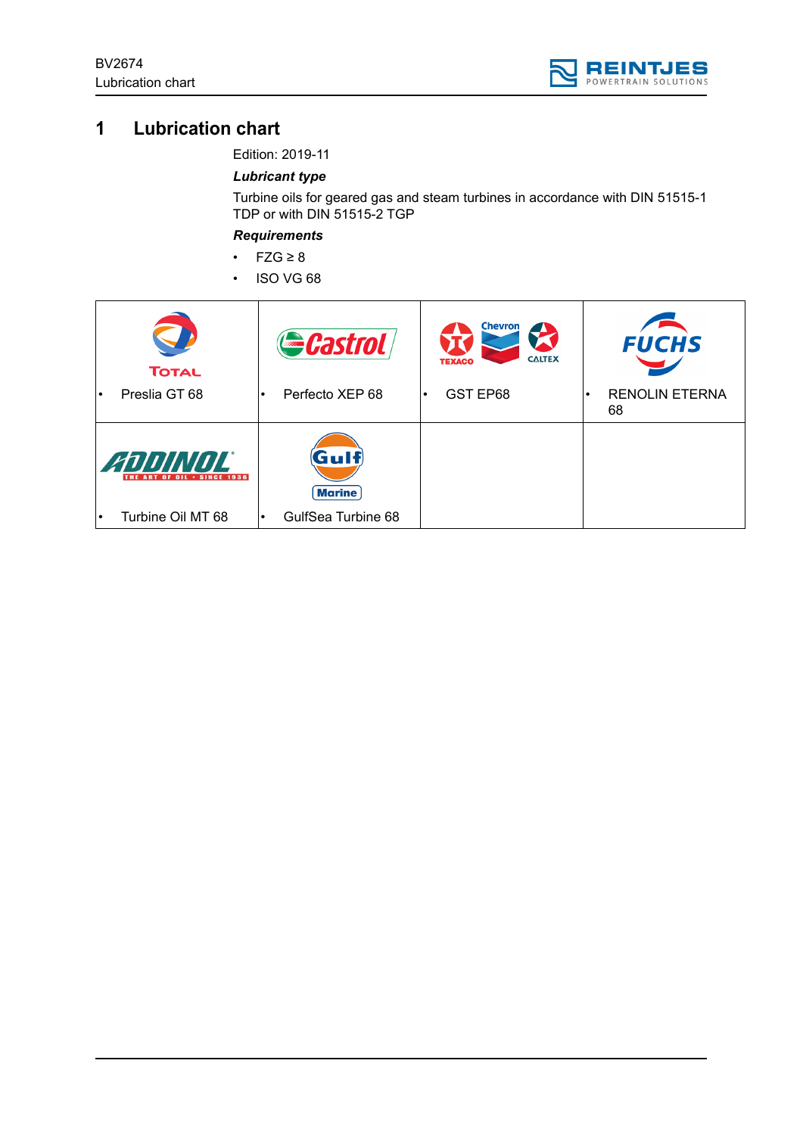

# **1 Lubrication chart**

Edition: 2019-11

## *Lubricant type*

Turbine oils for geared gas and steam turbines in accordance with DIN 51515-1 TDP or with DIN 51515-2 TGP

*Requirements*

- FZG ≥ 8
- ISO VG 68

| <b>TOTAL</b>                           | Gastrol                             | <b>Chevron</b><br><b>CALTEX</b><br><b>TEXACO</b> | <b>FUCHS</b>                             |
|----------------------------------------|-------------------------------------|--------------------------------------------------|------------------------------------------|
| Preslia GT 68<br>$\bullet$             | Perfecto XEP 68<br>$\bullet$        | GST EP68                                         | <b>RENOLIN ETERNA</b><br>$\bullet$<br>68 |
| ANNINOL<br>THE ART OF OIL . SINCE 1936 | $({\bf G}$ ulf $)$<br><b>Marine</b> |                                                  |                                          |
| Turbine Oil MT 68<br>$\bullet$         | GulfSea Turbine 68<br>٠             |                                                  |                                          |